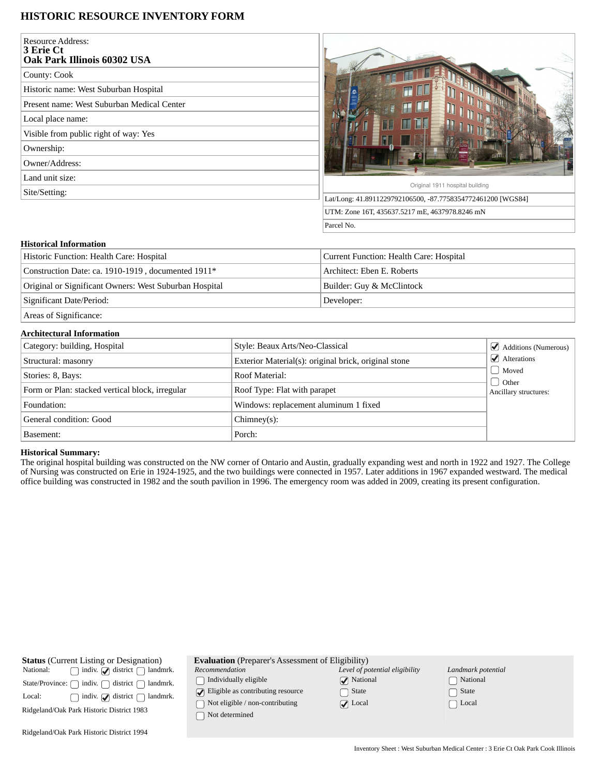# **HISTORIC RESOURCE INVENTORY FORM**

| <b>Resource Address:</b><br>3 Erie Ct<br>Oak Park Illinois 60302 USA |                                                             |
|----------------------------------------------------------------------|-------------------------------------------------------------|
| County: Cook                                                         |                                                             |
| Historic name: West Suburban Hospital                                | T LL                                                        |
| Present name: West Suburban Medical Center                           | H                                                           |
| Local place name:                                                    | H                                                           |
| Visible from public right of way: Yes                                |                                                             |
| Ownership:                                                           |                                                             |
| Owner/Address:                                                       |                                                             |
| Land unit size:                                                      |                                                             |
| Site/Setting:                                                        | Original 1911 hospital building                             |
|                                                                      | Lat/Long: 41.8911229792106500, -87.7758354772461200 [WGS84] |
|                                                                      | UTM: Zone 16T, 435637.5217 mE, 4637978.8246 mN              |
|                                                                      | Parcel No.                                                  |

# **Historical Information**

| Historic Function: Health Care: Hospital               | Current Function: Health Care: Hospital |
|--------------------------------------------------------|-----------------------------------------|
| Construction Date: ca. 1910-1919, documented 1911*     | Architect: Eben E. Roberts              |
| Original or Significant Owners: West Suburban Hospital | Builder: Guy & McClintock               |
| Significant Date/Period:                               | Developer:                              |
| $\sim$ $\sim$ $\sim$ $\sim$ $\sim$                     |                                         |

Areas of Significance:

## **Architectural Information**

| Category: building, Hospital                    | Style: Beaux Arts/Neo-Classical                      | $\Box$ Additions (Numerous)              |
|-------------------------------------------------|------------------------------------------------------|------------------------------------------|
| Structural: masonry                             | Exterior Material(s): original brick, original stone | $\sqrt{\phantom{a}}$ Alterations         |
| Stories: 8, Bays:                               | Roof Material:                                       | Moved                                    |
| Form or Plan: stacked vertical block, irregular | Roof Type: Flat with parapet                         | $\bigcup$ Other<br>Ancillary structures: |
| Foundation:                                     | Windows: replacement aluminum 1 fixed                |                                          |
| General condition: Good                         | $Chimnev(s)$ :                                       |                                          |
| Basement:                                       | Porch:                                               |                                          |

### **Historical Summary:**

The original hospital building was constructed on the NW corner of Ontario and Austin, gradually expanding west and north in 1922 and 1927. The College of Nursing was constructed on Erie in 1924-1925, and the two buildings were connected in 1957. Later additions in 1967 expanded westward. The medical office building was constructed in 1982 and the south pavilion in 1996. The emergency room was added in 2009, creating its present configuration.

| <b>Status</b> (Current Listing or Designation)<br>indiv. $\bigcirc$ district $\bigcap$<br>National:<br>landmrk.<br>district [<br>indiv.<br>State/Province: [<br>landmrk.<br>indiv. $\bigcirc$ district $\bigcap$<br>landmrk.<br>Local:<br>Ridgeland/Oak Park Historic District 1983 | <b>Evaluation</b> (Preparer's Assessment of Eligibility)<br>Recommendation<br>Individually eligible<br>Eligible as contributing resource<br>Not eligible / non-contributing<br>Not determined | Level of potential eligibility<br><b>National</b><br>State<br>$\triangledown$ Local | Landmark potential<br>  National<br>State<br>$\Box$ Local |  |
|-------------------------------------------------------------------------------------------------------------------------------------------------------------------------------------------------------------------------------------------------------------------------------------|-----------------------------------------------------------------------------------------------------------------------------------------------------------------------------------------------|-------------------------------------------------------------------------------------|-----------------------------------------------------------|--|
| Ridgeland/Oak Park Historic District 1994                                                                                                                                                                                                                                           |                                                                                                                                                                                               |                                                                                     |                                                           |  |